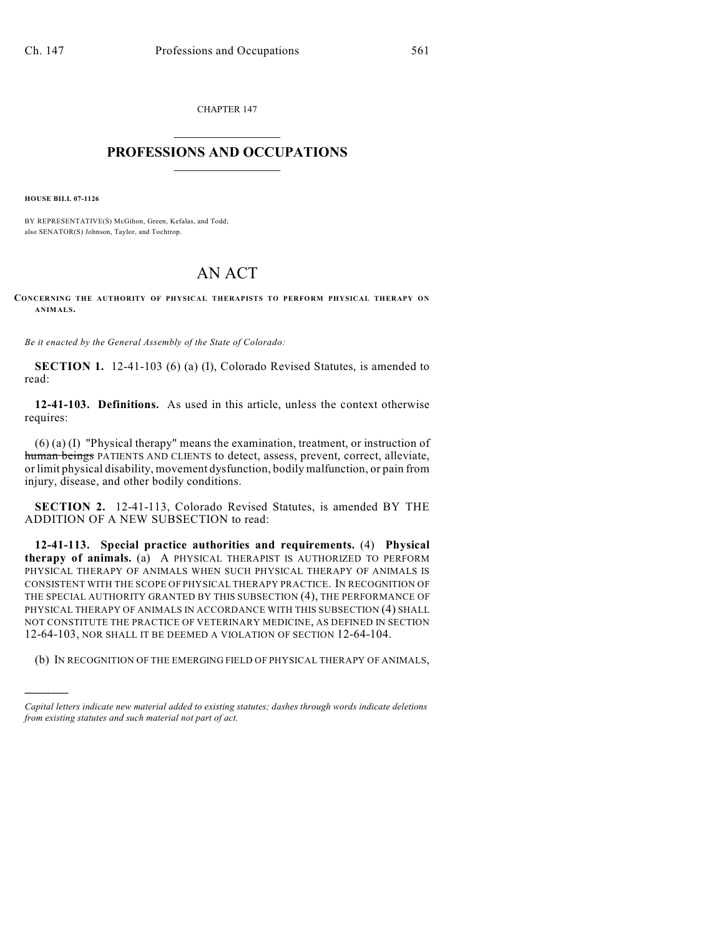CHAPTER 147  $\overline{\phantom{a}}$  . The set of the set of the set of the set of the set of the set of the set of the set of the set of the set of the set of the set of the set of the set of the set of the set of the set of the set of the set o

## **PROFESSIONS AND OCCUPATIONS**  $\frac{1}{2}$  ,  $\frac{1}{2}$  ,  $\frac{1}{2}$  ,  $\frac{1}{2}$  ,  $\frac{1}{2}$  ,  $\frac{1}{2}$

**HOUSE BILL 07-1126**

)))))

BY REPRESENTATIVE(S) McGihon, Green, Kefalas, and Todd; also SENATOR(S) Johnson, Taylor, and Tochtrop.

## AN ACT

**CONCERNING THE AUTHORITY OF PHYSICAL THERAPISTS TO PERFORM PHYSICAL THERAPY ON ANIMALS.**

*Be it enacted by the General Assembly of the State of Colorado:*

**SECTION 1.** 12-41-103 (6) (a) (I), Colorado Revised Statutes, is amended to read:

**12-41-103. Definitions.** As used in this article, unless the context otherwise requires:

(6) (a) (I) "Physical therapy" means the examination, treatment, or instruction of human beings PATIENTS AND CLIENTS to detect, assess, prevent, correct, alleviate, or limit physical disability, movement dysfunction, bodily malfunction, or pain from injury, disease, and other bodily conditions.

**SECTION 2.** 12-41-113, Colorado Revised Statutes, is amended BY THE ADDITION OF A NEW SUBSECTION to read:

**12-41-113. Special practice authorities and requirements.** (4) **Physical therapy of animals.** (a) A PHYSICAL THERAPIST IS AUTHORIZED TO PERFORM PHYSICAL THERAPY OF ANIMALS WHEN SUCH PHYSICAL THERAPY OF ANIMALS IS CONSISTENT WITH THE SCOPE OF PHYSICAL THERAPY PRACTICE. IN RECOGNITION OF THE SPECIAL AUTHORITY GRANTED BY THIS SUBSECTION (4), THE PERFORMANCE OF PHYSICAL THERAPY OF ANIMALS IN ACCORDANCE WITH THIS SUBSECTION (4) SHALL NOT CONSTITUTE THE PRACTICE OF VETERINARY MEDICINE, AS DEFINED IN SECTION 12-64-103, NOR SHALL IT BE DEEMED A VIOLATION OF SECTION 12-64-104.

(b) IN RECOGNITION OF THE EMERGING FIELD OF PHYSICAL THERAPY OF ANIMALS,

*Capital letters indicate new material added to existing statutes; dashes through words indicate deletions from existing statutes and such material not part of act.*